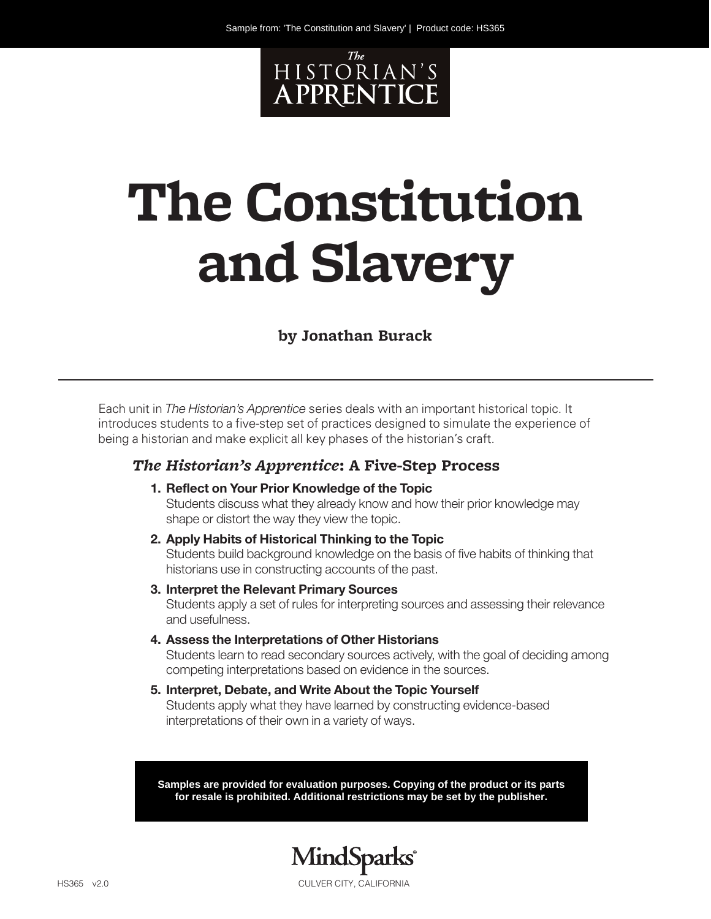

# **The Constitution and Slavery**

#### **by Jonathan Burack**

Each unit in *The Historian's Apprentice* series deals with an important historical topic. It introduces students to a five-step set of practices designed to simulate the experience of being a historian and make explicit all key phases of the historian's craft.

#### *The Historian's Apprentice***: A Five-Step Process**

- **1. Reflect on Your Prior Knowledge of the Topic** Students discuss what they already know and how their prior knowledge may shape or distort the way they view the topic.
- **2. Apply Habits of Historical Thinking to the Topic** Students build background knowledge on the basis of five habits of thinking that historians use in constructing accounts of the past.
- **3. Interpret the Relevant Primary Sources** Students apply a set of rules for interpreting sources and assessing their relevance and usefulness.
- **4. Assess the Interpretations of Other Historians**

Students learn to read secondary sources actively, with the goal of deciding among competing interpretations based on evidence in the sources.

**5. Interpret, Debate, and Write About the Topic Yourself** Students apply what they have learned by constructing evidence-based interpretations of their own in a variety of ways.

**Samples are provided for evaluation purposes. Copying of the product or its parts for resale is prohibited. Additional restrictions may be set by the publisher.**



HS365 v2.0 CULVER CITY, CALIFORNIA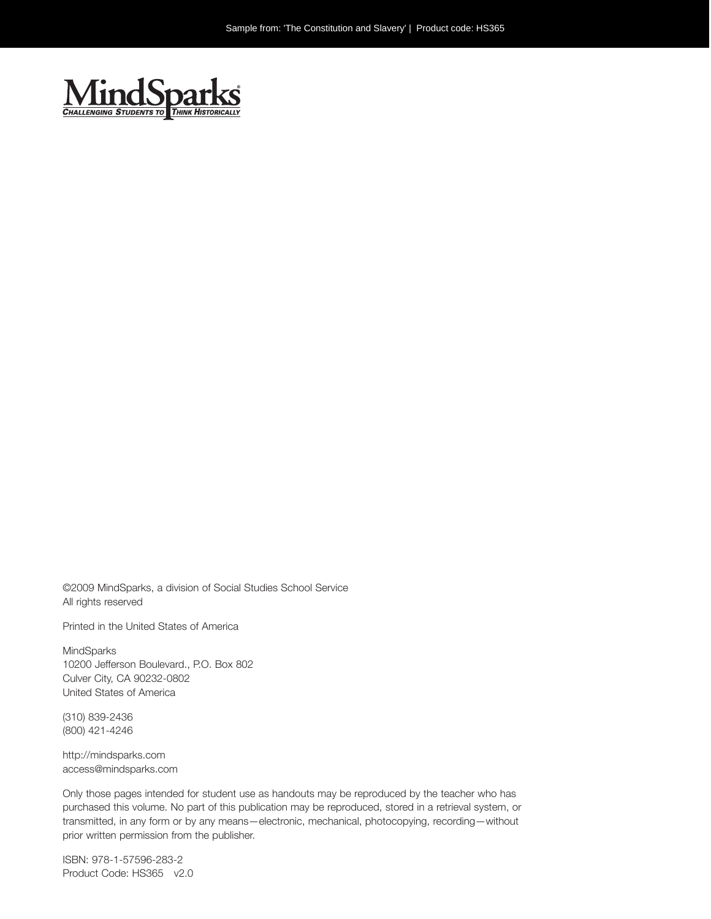

©2009 MindSparks, a division of Social Studies School Service All rights reserved

Printed in the United States of America

MindSparks 10200 Jefferson Boulevard., P.O. Box 802 Culver City, CA 90232-0802 United States of America

(310) 839-2436 (800) 421-4246

http://mindsparks.com access@mindsparks.com

Only those pages intended for student use as handouts may be reproduced by the teacher who has purchased this volume. No part of this publication may be reproduced, stored in a retrieval system, or transmitted, in any form or by any means—electronic, mechanical, photocopying, recording—without prior written permission from the publisher.

ISBN: 978-1-57596-283-2 Product Code: HS365 v2.0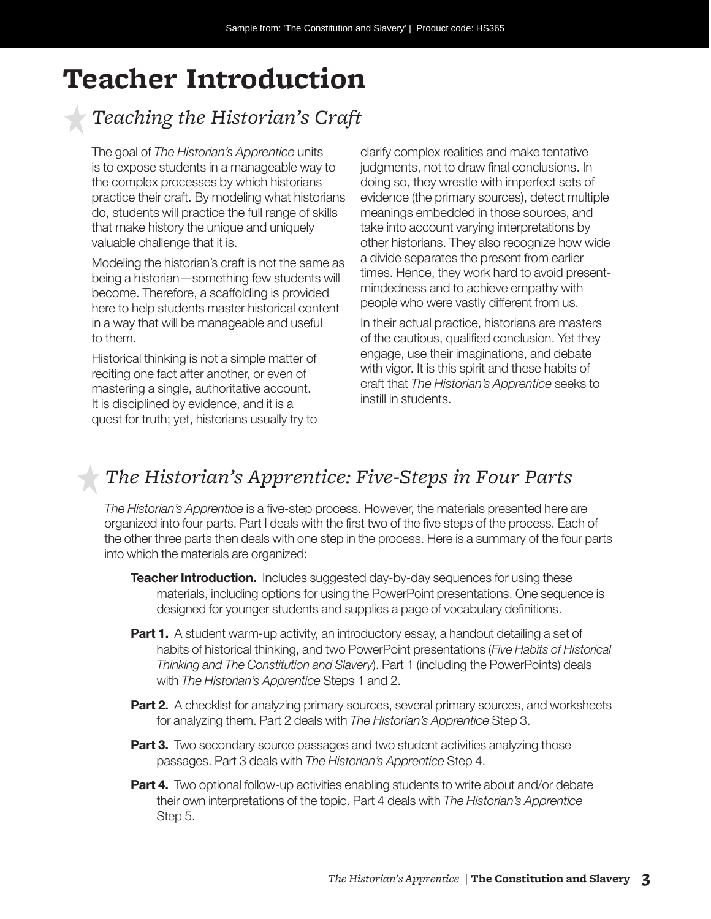## **Teacher Introduction**

## *Teaching the Historian's Craft*

The goal of *The Historian's Apprentice* units is to expose students in a manageable way to the complex processes by which historians practice their craft. By modeling what historians do, students will practice the full range of skills that make history the unique and uniquely valuable challenge that it is.

Modeling the historian's craft is not the same as being a historian—something few students will become. Therefore, a scaffolding is provided here to help students master historical content in a way that will be manageable and useful to them.

Historical thinking is not a simple matter of reciting one fact after another, or even of mastering a single, authoritative account. It is disciplined by evidence, and it is a quest for truth; yet, historians usually try to clarify complex realities and make tentative judgments, not to draw final conclusions. In doing so, they wrestle with imperfect sets of evidence (the primary sources), detect multiple meanings embedded in those sources, and take into account varying interpretations by other historians. They also recognize how wide a divide separates the present from earlier times. Hence, they work hard to avoid presentmindedness and to achieve empathy with people who were vastly different from us.

In their actual practice, historians are masters of the cautious, qualified conclusion. Yet they engage, use their imaginations, and debate with vigor. It is this spirit and these habits of craft that *The Historian's Apprentice* seeks to instill in students.

## *The Historian's Apprentice: Five-Steps in Four Parts*

*The Historian's Apprentice* is a five-step process. However, the materials presented here are organized into four parts. Part I deals with the first two of the five steps of the process. Each of the other three parts then deals with one step in the process. Here is a summary of the four parts into which the materials are organized:

- **Teacher Introduction.** Includes suggested day-by-day sequences for using these materials, including options for using the PowerPoint presentations. One sequence is designed for younger students and supplies a page of vocabulary definitions.
- **Part 1.** A student warm-up activity, an introductory essay, a handout detailing a set of habits of historical thinking, and two PowerPoint presentations (*Five Habits of Historical Thinking and The Constitution and Slavery*). Part 1 (including the PowerPoints) deals with *The Historian's Apprentice* Steps 1 and 2.
- **Part 2.** A checklist for analyzing primary sources, several primary sources, and worksheets for analyzing them. Part 2 deals with *The Historian's Apprentice* Step 3.
- **Part 3.** Two secondary source passages and two student activities analyzing those passages. Part 3 deals with *The Historian's Apprentice* Step 4.
- **Part 4.** Two optional follow-up activities enabling students to write about and/or debate their own interpretations of the topic. Part 4 deals with *The Historian's Apprentice* Step 5.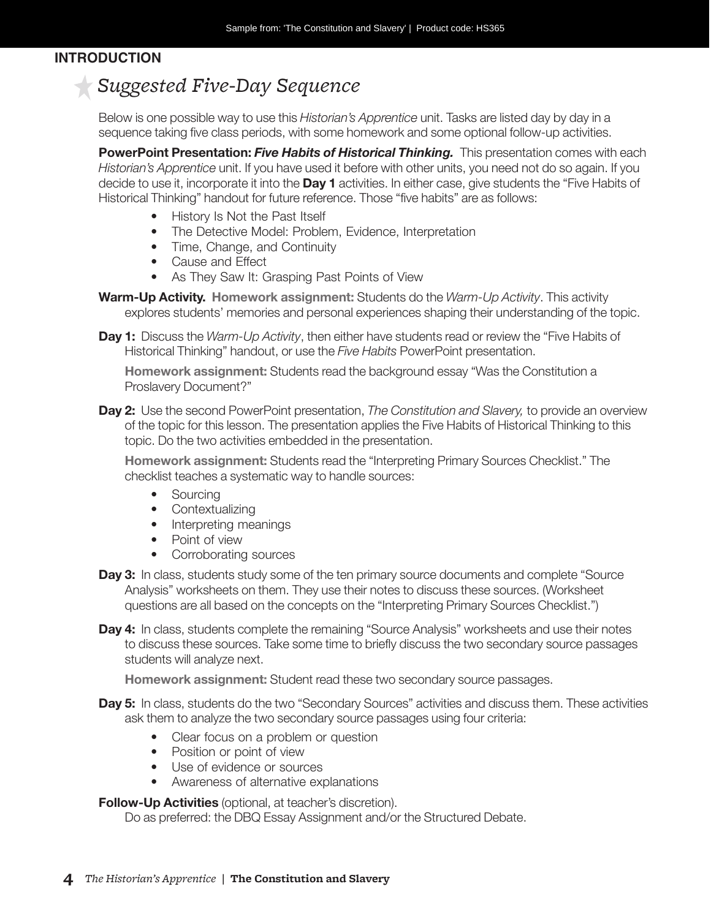#### *Teacher* **INTRODUCTION**

## *Suggested Five-Day Sequence*

Below is one possible way to use this *Historian's Apprentice* unit. Tasks are listed day by day in a sequence taking five class periods, with some homework and some optional follow-up activities.

**PowerPoint Presentation:** *Five Habits of Historical Thinking.* This presentation comes with each *Historian's Apprentice* unit. If you have used it before with other units, you need not do so again. If you decide to use it, incorporate it into the **Day 1** activities. In either case, give students the "Five Habits of Historical Thinking" handout for future reference. Those "five habits" are as follows:

- History Is Not the Past Itself
- The Detective Model: Problem, Evidence, Interpretation
- Time, Change, and Continuity
- Cause and Effect
- As They Saw It: Grasping Past Points of View

**Warm-Up Activity. Homework assignment:** Students do the *Warm-Up Activity*. This activity explores students' memories and personal experiences shaping their understanding of the topic.

**Day 1:** Discuss the *Warm-Up Activity*, then either have students read or review the "Five Habits of Historical Thinking" handout, or use the *Five Habits* PowerPoint presentation.

**Homework assignment:** Students read the background essay "Was the Constitution a Proslavery Document?"

**Day 2:** Use the second PowerPoint presentation, *The Constitution and Slavery,* to provide an overview of the topic for this lesson. The presentation applies the Five Habits of Historical Thinking to this topic. Do the two activities embedded in the presentation.

**Homework assignment:** Students read the "Interpreting Primary Sources Checklist." The checklist teaches a systematic way to handle sources:

- Sourcing
- Contextualizing
- Interpreting meanings
- Point of view
- Corroborating sources
- **Day 3:** In class, students study some of the ten primary source documents and complete "Source Analysis" worksheets on them. They use their notes to discuss these sources. (Worksheet questions are all based on the concepts on the "Interpreting Primary Sources Checklist.")
- **Day 4:** In class, students complete the remaining "Source Analysis" worksheets and use their notes to discuss these sources. Take some time to briefly discuss the two secondary source passages students will analyze next.

**Homework assignment:** Student read these two secondary source passages.

- **Day 5:** In class, students do the two "Secondary Sources" activities and discuss them. These activities ask them to analyze the two secondary source passages using four criteria:
	- Clear focus on a problem or question
	- Position or point of view
	- Use of evidence or sources
	- Awareness of alternative explanations

**Follow-Up Activities** (optional, at teacher's discretion).

Do as preferred: the DBQ Essay Assignment and/or the Structured Debate.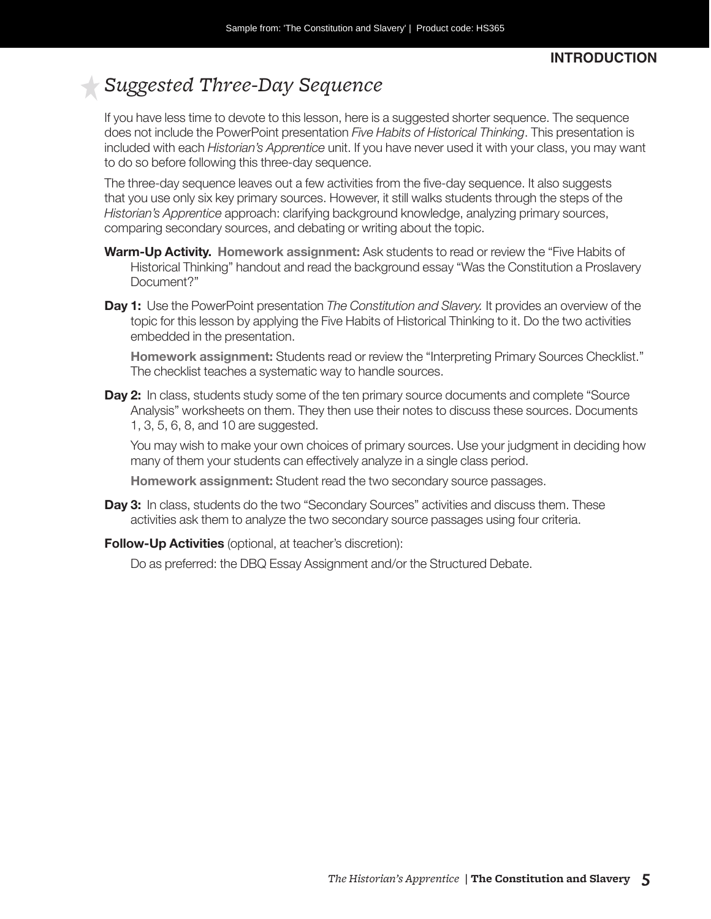## *Suggested Three-Day Sequence*

If you have less time to devote to this lesson, here is a suggested shorter sequence. The sequence does not include the PowerPoint presentation *Five Habits of Historical Thinking*. This presentation is included with each *Historian's Apprentice* unit. If you have never used it with your class, you may want to do so before following this three-day sequence.

The three-day sequence leaves out a few activities from the five-day sequence. It also suggests that you use only six key primary sources. However, it still walks students through the steps of the *Historian's Apprentice* approach: clarifying background knowledge, analyzing primary sources, comparing secondary sources, and debating or writing about the topic.

- **Warm-Up Activity. Homework assignment:** Ask students to read or review the "Five Habits of Historical Thinking" handout and read the background essay "Was the Constitution a Proslavery Document?"
- **Day 1:** Use the PowerPoint presentation *The Constitution and Slavery.* It provides an overview of the topic for this lesson by applying the Five Habits of Historical Thinking to it. Do the two activities embedded in the presentation.

**Homework assignment:** Students read or review the "Interpreting Primary Sources Checklist." The checklist teaches a systematic way to handle sources.

**Day 2:** In class, students study some of the ten primary source documents and complete "Source Analysis" worksheets on them. They then use their notes to discuss these sources. Documents 1, 3, 5, 6, 8, and 10 are suggested.

You may wish to make your own choices of primary sources. Use your judgment in deciding how many of them your students can effectively analyze in a single class period.

**Homework assignment:** Student read the two secondary source passages.

- **Day 3:** In class, students do the two "Secondary Sources" activities and discuss them. These activities ask them to analyze the two secondary source passages using four criteria.
- **Follow-Up Activities** (optional, at teacher's discretion):

Do as preferred: the DBQ Essay Assignment and/or the Structured Debate.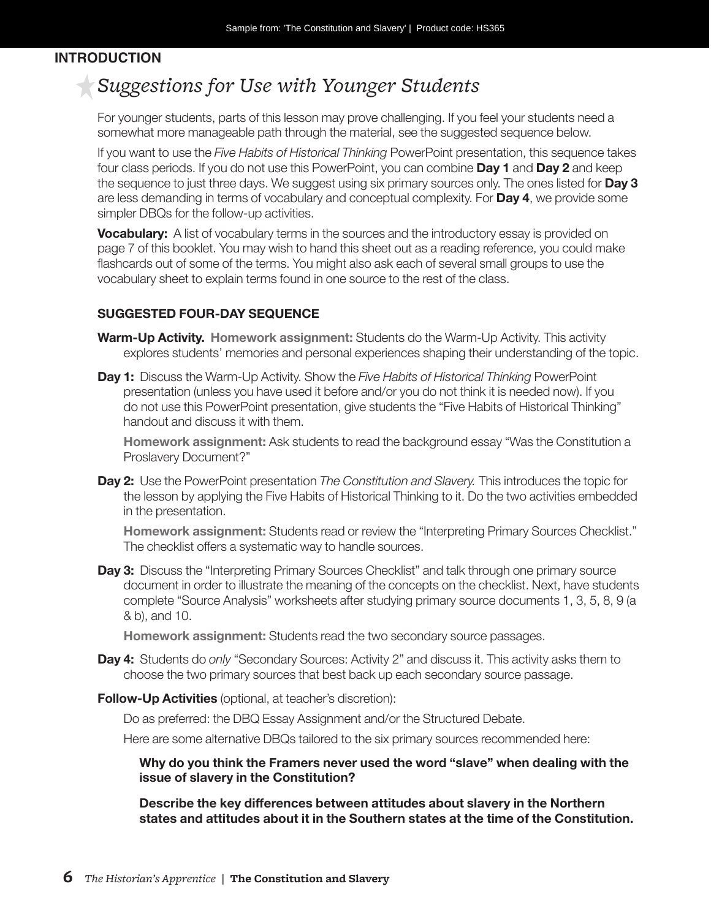#### *Teacher* **INTRODUCTION**

## *Suggestions for Use with Younger Students*

For younger students, parts of this lesson may prove challenging. If you feel your students need a somewhat more manageable path through the material, see the suggested sequence below.

If you want to use the *Five Habits of Historical Thinking* PowerPoint presentation, this sequence takes four class periods. If you do not use this PowerPoint, you can combine **Day 1** and **Day 2** and keep the sequence to just three days. We suggest using six primary sources only. The ones listed for **Day 3** are less demanding in terms of vocabulary and conceptual complexity. For **Day 4**, we provide some simpler DBQs for the follow-up activities.

**Vocabulary:** A list of vocabulary terms in the sources and the introductory essay is provided on page 7 of this booklet. You may wish to hand this sheet out as a reading reference, you could make flashcards out of some of the terms. You might also ask each of several small groups to use the vocabulary sheet to explain terms found in one source to the rest of the class.

#### **SUGGESTED FOUR-DAY SEQUENCE**

- **Warm-Up Activity. Homework assignment:** Students do the Warm-Up Activity. This activity explores students' memories and personal experiences shaping their understanding of the topic.
- **Day 1:** Discuss the Warm-Up Activity. Show the *Five Habits of Historical Thinking* PowerPoint presentation (unless you have used it before and/or you do not think it is needed now). If you do not use this PowerPoint presentation, give students the "Five Habits of Historical Thinking" handout and discuss it with them.

**Homework assignment:** Ask students to read the background essay "Was the Constitution a Proslavery Document?"

**Day 2:** Use the PowerPoint presentation *The Constitution and Slavery.* This introduces the topic for the lesson by applying the Five Habits of Historical Thinking to it. Do the two activities embedded in the presentation.

**Homework assignment:** Students read or review the "Interpreting Primary Sources Checklist." The checklist offers a systematic way to handle sources.

**Day 3:** Discuss the "Interpreting Primary Sources Checklist" and talk through one primary source document in order to illustrate the meaning of the concepts on the checklist. Next, have students complete "Source Analysis" worksheets after studying primary source documents 1, 3, 5, 8, 9 (a & b), and 10.

**Homework assignment:** Students read the two secondary source passages.

- **Day 4:** Students do *only* "Secondary Sources: Activity 2" and discuss it. This activity asks them to choose the two primary sources that best back up each secondary source passage.
- **Follow-Up Activities** (optional, at teacher's discretion):

Do as preferred: the DBQ Essay Assignment and/or the Structured Debate.

Here are some alternative DBQs tailored to the six primary sources recommended here:

**Why do you think the Framers never used the word "slave" when dealing with the issue of slavery in the Constitution?** 

**Describe the key differences between attitudes about slavery in the Northern states and attitudes about it in the Southern states at the time of the Constitution.**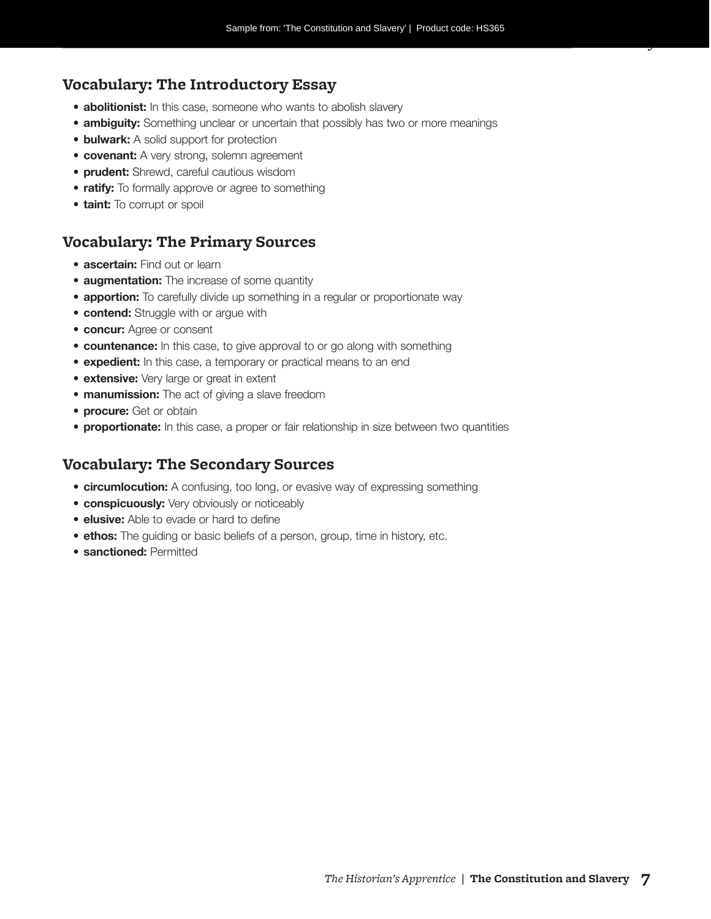*Vocabulary*

#### **Vocabulary: The Introductory Essay**

- **abolitionist:** In this case, someone who wants to abolish slavery
- **ambiguity:** Something unclear or uncertain that possibly has two or more meanings
- **bulwark:** A solid support for protection
- **covenant:** A very strong, solemn agreement
- **prudent:** Shrewd, careful cautious wisdom
- **ratify:** To formally approve or agree to something
- **taint:** To corrupt or spoil

#### **Vocabulary: The Primary Sources**

- **ascertain:** Find out or learn
- **augmentation:** The increase of some quantity
- **apportion:** To carefully divide up something in a regular or proportionate way
- **contend:** Struggle with or argue with
- **concur:** Agree or consent
- **countenance:** In this case, to give approval to or go along with something
- **expedient:** In this case, a temporary or practical means to an end
- **extensive:** Very large or great in extent
- **manumission:** The act of giving a slave freedom
- **procure:** Get or obtain
- **proportionate:** In this case, a proper or fair relationship in size between two quantities

#### **Vocabulary: The Secondary Sources**

- **circumlocution:** A confusing, too long, or evasive way of expressing something
- **conspicuously:** Very obviously or noticeably
- **elusive:** Able to evade or hard to define
- **ethos:** The guiding or basic beliefs of a person, group, time in history, etc.
- **sanctioned:** Permitted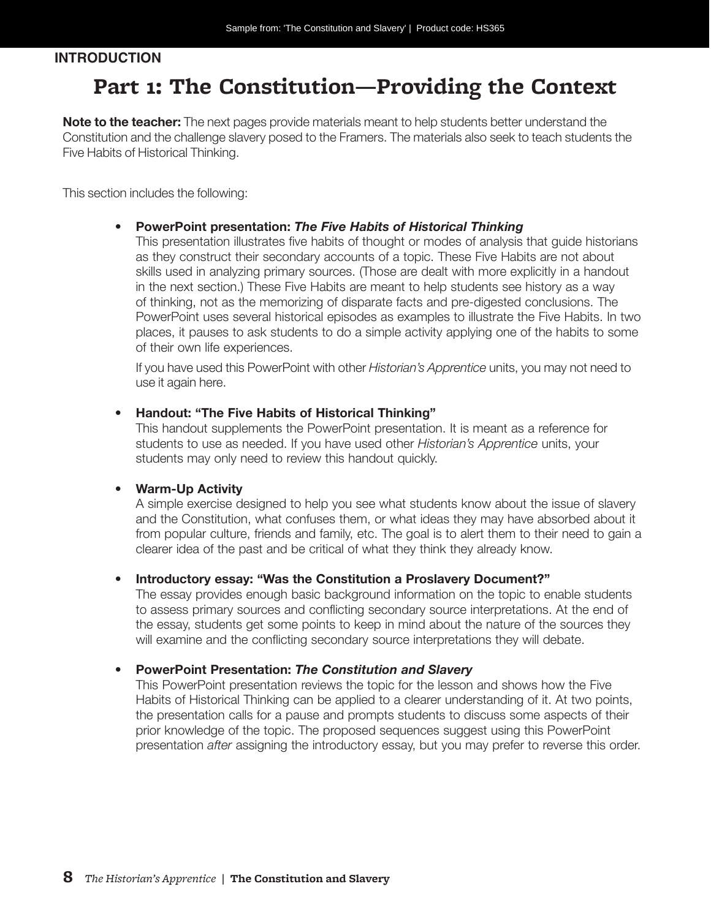#### *Teacher* **INTRODUCTION**

## **Part 1: The Constitution—Providing the Context**

**Note to the teacher:** The next pages provide materials meant to help students better understand the Constitution and the challenge slavery posed to the Framers. The materials also seek to teach students the Five Habits of Historical Thinking.

This section includes the following:

#### • **PowerPoint presentation:** *The Five Habits of Historical Thinking*

This presentation illustrates five habits of thought or modes of analysis that guide historians as they construct their secondary accounts of a topic. These Five Habits are not about skills used in analyzing primary sources. (Those are dealt with more explicitly in a handout in the next section.) These Five Habits are meant to help students see history as a way of thinking, not as the memorizing of disparate facts and pre-digested conclusions. The PowerPoint uses several historical episodes as examples to illustrate the Five Habits. In two places, it pauses to ask students to do a simple activity applying one of the habits to some of their own life experiences.

If you have used this PowerPoint with other *Historian's Apprentice* units, you may not need to use it again here.

#### • **Handout: "The Five Habits of Historical Thinking"**

This handout supplements the PowerPoint presentation. It is meant as a reference for students to use as needed. If you have used other *Historian's Apprentice* units, your students may only need to review this handout quickly.

#### • **Warm-Up Activity**

A simple exercise designed to help you see what students know about the issue of slavery and the Constitution, what confuses them, or what ideas they may have absorbed about it from popular culture, friends and family, etc. The goal is to alert them to their need to gain a clearer idea of the past and be critical of what they think they already know.

#### • **Introductory essay: "Was the Constitution a Proslavery Document?"**

The essay provides enough basic background information on the topic to enable students to assess primary sources and conflicting secondary source interpretations. At the end of the essay, students get some points to keep in mind about the nature of the sources they will examine and the conflicting secondary source interpretations they will debate.

#### • **PowerPoint Presentation:** *The Constitution and Slavery*

This PowerPoint presentation reviews the topic for the lesson and shows how the Five Habits of Historical Thinking can be applied to a clearer understanding of it. At two points, the presentation calls for a pause and prompts students to discuss some aspects of their prior knowledge of the topic. The proposed sequences suggest using this PowerPoint presentation *after* assigning the introductory essay, but you may prefer to reverse this order.